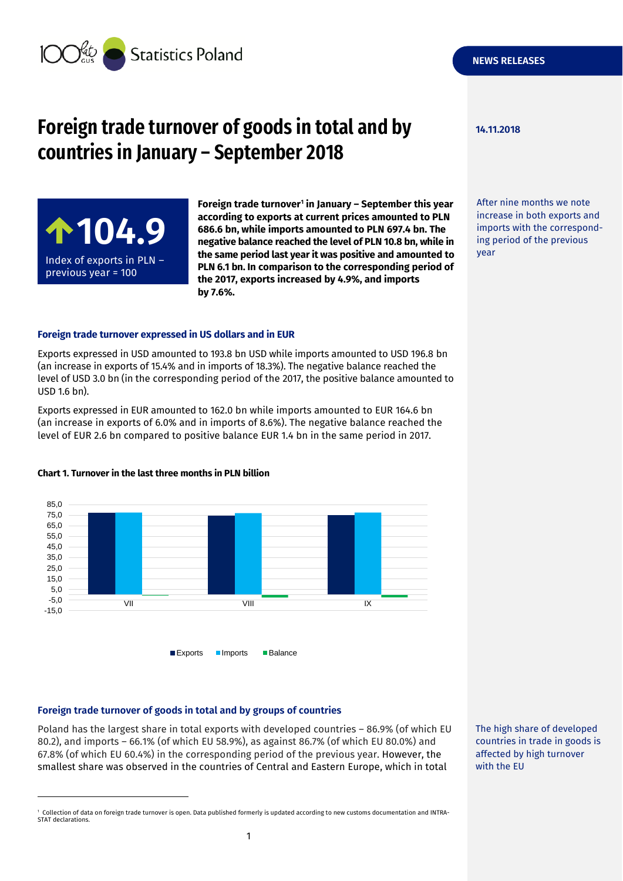

# **Foreign trade turnover of goods in total and by 14.11.2018 countries in January – September 2018**



**Foreign trade turnover<sup>1</sup> in January – September this year according to exports at current prices amounted to PLN 686.6 bn, while imports amounted to PLN 697.4 bn. The negative balance reached the level of PLN 10.8 bn, while in the same period last year it was positive and amounted to PLN 6.1 bn. In comparison to the corresponding period of the 2017, exports increased by 4.9%, and imports by 7.6%.**

#### **Foreign trade turnover expressed in US dollars and in EUR**

Exports expressed in USD amounted to 193.8 bn USD while imports amounted to USD 196.8 bn (an increase in exports of 15.4% and in imports of 18.3%). The negative balance reached the level of USD 3.0 bn (in the corresponding period of the 2017, the positive balance amounted to USD 1.6 bn).

Exports expressed in EUR amounted to 162.0 bn while imports amounted to EUR 164.6 bn (an increase in exports of 6.0% and in imports of 8.6%). The negative balance reached the level of EUR 2.6 bn compared to positive balance EUR 1.4 bn in the same period in 2017.



#### **Chart 1. Turnover in the last three months in PLN billion**

#### **Foreign trade turnover of goods in total and by groups of countries**

-

Poland has the largest share in total exports with developed countries – 86.9% (of which EU 80.2), and imports – 66.1% (of which EU 58.9%), as against 86.7% (of which EU 80.0%) and 67.8% (of which EU 60.4%) in the corresponding period of the previous year. However, the smallest share was observed in the countries of Central and Eastern Europe, which in total

After nine months we note increase in both exports and imports with the corresponding period of the previous year

The high share of developed countries in trade in goods is affected by high turnover with the EU

<sup>1</sup> Collection of data on foreign trade turnover is open. Data published formerly is updated according to new customs documentation and INTRA-STAT declarations.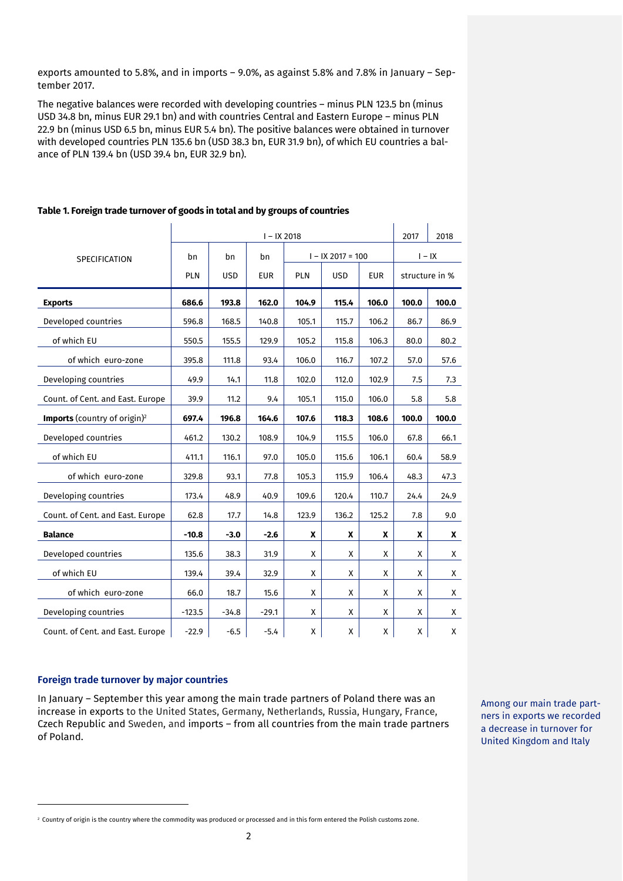exports amounted to 5.8%, and in imports – 9.0%, as against 5.8% and 7.8% in January – September 2017.

The negative balances were recorded with developing countries – minus PLN 123.5 bn (minus USD 34.8 bn, minus EUR 29.1 bn) and with countries Central and Eastern Europe – minus PLN 22.9 bn (minus USD 6.5 bn, minus EUR 5.4 bn). The positive balances were obtained in turnover with developed countries PLN 135.6 bn (USD 38.3 bn, EUR 31.9 bn), of which EU countries a balance of PLN 139.4 bn (USD 39.4 bn, EUR 32.9 bn).

|                                          |            | 2017       | 2018       |            |                     |            |                |       |
|------------------------------------------|------------|------------|------------|------------|---------------------|------------|----------------|-------|
| <b>SPECIFICATION</b>                     | bn         | bn<br>bn   |            |            | $I - IX 2017 = 100$ | $I - IX$   |                |       |
|                                          | <b>PLN</b> | <b>USD</b> | <b>EUR</b> | <b>PLN</b> | <b>USD</b>          | <b>EUR</b> | structure in % |       |
| <b>Exports</b>                           | 686.6      | 193.8      | 162.0      | 104.9      | 115.4               | 106.0      | 100.0          | 100.0 |
| Developed countries                      | 596.8      | 168.5      | 140.8      | 105.1      | 115.7               | 106.2      | 86.7           | 86.9  |
| of which EU                              | 550.5      | 155.5      | 129.9      | 105.2      | 115.8               | 106.3      | 80.0           | 80.2  |
| of which euro-zone                       | 395.8      | 111.8      | 93.4       | 106.0      | 116.7               | 107.2      | 57.0           | 57.6  |
| Developing countries                     | 49.9       | 14.1       | 11.8       | 102.0      | 112.0               | 102.9      | 7.5            | 7.3   |
| Count. of Cent. and East. Europe         | 39.9       | 11.2       | 9.4        | 105.1      | 115.0               | 106.0      | 5.8            | 5.8   |
| Imports (country of origin) <sup>2</sup> | 697.4      | 196.8      | 164.6      | 107.6      | 118.3               | 108.6      | 100.0          | 100.0 |
| Developed countries                      | 461.2      | 130.2      | 108.9      | 104.9      | 115.5               | 106.0      | 67.8           | 66.1  |
| of which EU                              | 411.1      | 116.1      | 97.0       | 105.0      | 115.6               | 106.1      | 60.4           | 58.9  |
| of which euro-zone                       | 329.8      | 93.1       | 77.8       | 105.3      | 115.9               | 106.4      | 48.3           | 47.3  |
| Developing countries                     | 173.4      | 48.9       | 40.9       | 109.6      | 120.4               | 110.7      | 24.4           | 24.9  |
| Count. of Cent. and East. Europe         | 62.8       | 17.7       | 14.8       | 123.9      | 136.2               | 125.2      | 7.8            | 9.0   |
| <b>Balance</b>                           | $-10.8$    | $-3.0$     | $-2.6$     | X          | X                   | X          | X              | X     |
| Developed countries                      | 135.6      | 38.3       | 31.9       | X          | X                   | X          | X              | X     |
| of which EU                              | 139.4      | 39.4       | 32.9       | X          | X                   | X          | X              | X     |
| of which euro-zone                       | 66.0       | 18.7       | 15.6       | X          | X                   | X          | X              | X     |
| Developing countries                     | $-123.5$   | $-34.8$    | $-29.1$    | X          | X                   | X          | X              | X     |
| Count. of Cent. and East. Europe         | $-22.9$    | $-6.5$     | $-5.4$     | x          | X                   | X          | X              | X     |

#### **Table 1. Foreign trade turnover of goods in total and by groups of countries**

#### **Foreign trade turnover by major countries**

-

In January – September this year among the main trade partners of Poland there was an increase in exports to the United States, Germany, Netherlands, Russia, Hungary, France, Czech Republic and Sweden, and imports – from all countries from the main trade partners of Poland.

Among our main trade partners in exports we recorded a decrease in turnover for United Kingdom and Italy

<sup>&</sup>lt;sup>2</sup> Country of origin is the country where the commodity was produced or processed and in this form entered the Polish customs zone.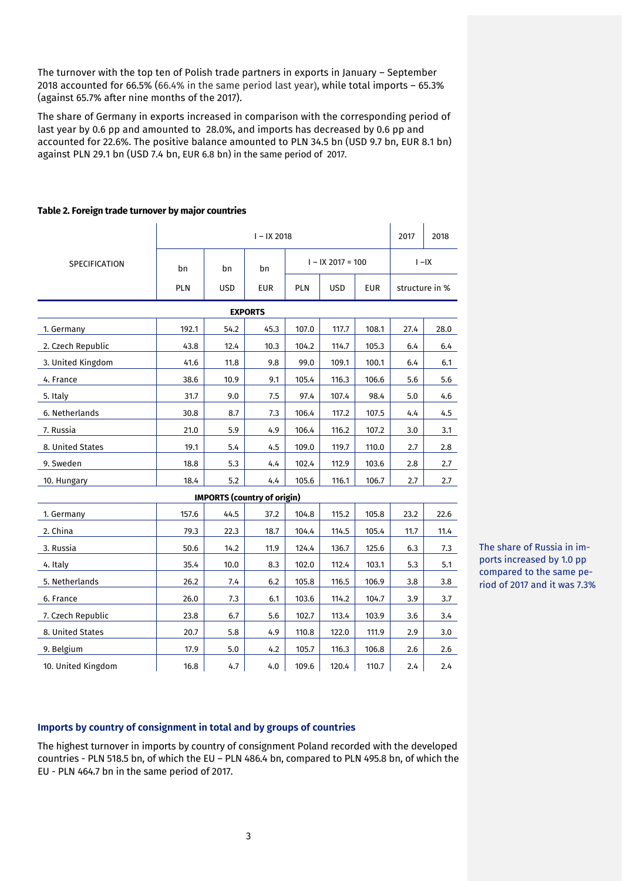The turnover with the top ten of Polish trade partners in exports in January – September 2018 accounted for 66.5% (66.4% in the same period last year), while total imports – 65.3% (against 65.7% after nine months of the 2017).

The share of Germany in exports increased in comparison with the corresponding period of last year by 0.6 pp and amounted to 28.0%, and imports has decreased by 0.6 pp and accounted for 22.6%. The positive balance amounted to PLN 34.5 bn (USD 9.7 bn, EUR 8.1 bn) against PLN 29.1 bn (USD 7.4 bn, EUR 6.8 bn) in the same period of 2017.

|                    |       | 2017                               | 2018       |       |                     |            |                |      |  |  |
|--------------------|-------|------------------------------------|------------|-------|---------------------|------------|----------------|------|--|--|
| SPECIFICATION      | bn    | bn                                 |            |       | $I - IX 2017 = 100$ | $I - IX$   |                |      |  |  |
|                    | PLN   | <b>USD</b>                         | <b>EUR</b> | PLN   | <b>USD</b>          | <b>EUR</b> | structure in % |      |  |  |
| <b>EXPORTS</b>     |       |                                    |            |       |                     |            |                |      |  |  |
| 1. Germany         | 192.1 | 54.2                               | 45.3       | 107.0 | 117.7               | 108.1      | 27.4           | 28.0 |  |  |
| 2. Czech Republic  | 43.8  | 12.4                               | 10.3       | 104.2 | 114.7               | 105.3      | 6.4            | 6.4  |  |  |
| 3. United Kingdom  | 41.6  | 11.8                               | 9.8        | 99.0  | 109.1               | 100.1      | 6.4            | 6.1  |  |  |
| 4. France          | 38.6  | 10.9                               | 9.1        | 105.4 | 116.3               | 106.6      | 5.6            | 5.6  |  |  |
| 5. Italy           | 31.7  | 9.0                                | 7.5        | 97.4  | 107.4               | 98.4       | 5.0            | 4.6  |  |  |
| 6. Netherlands     | 30.8  | 8.7                                | 7.3        | 106.4 | 117.2               | 107.5      | 4.4            | 4.5  |  |  |
| 7. Russia          | 21.0  | 5.9                                | 4.9        | 106.4 | 116.2               | 107.2      | 3.0            | 3.1  |  |  |
| 8. United States   | 19.1  | 5.4                                | 4.5        | 109.0 | 119.7               | 110.0      | 2.7            | 2.8  |  |  |
| 9. Sweden          | 18.8  | 5.3                                | 4.4        | 102.4 | 112.9               | 103.6      | 2.8            | 2.7  |  |  |
| 10. Hungary        | 18.4  | 5.2                                | 4.4        | 105.6 | 116.1               | 106.7      | 2.7            | 2.7  |  |  |
|                    |       | <b>IMPORTS (country of origin)</b> |            |       |                     |            |                |      |  |  |
| 1. Germany         | 157.6 | 44.5                               | 37.2       | 104.8 | 115.2               | 105.8      | 23.2           | 22.6 |  |  |
| 2. China           | 79.3  | 22.3                               | 18.7       | 104.4 | 114.5               | 105.4      | 11.7           | 11.4 |  |  |
| 3. Russia          | 50.6  | 14.2                               | 11.9       | 124.4 | 136.7               | 125.6      | 6.3            | 7.3  |  |  |
| 4. Italy           | 35.4  | 10.0                               | 8.3        | 102.0 | 112.4               | 103.1      | 5.3            | 5.1  |  |  |
| 5. Netherlands     | 26.2  | 7.4                                | 6.2        | 105.8 | 116.5               | 106.9      | 3.8            | 3.8  |  |  |
| 6. France          | 26.0  | 7.3                                | 6.1        | 103.6 | 114.2               | 104.7      | 3.9            | 3.7  |  |  |
| 7. Czech Republic  | 23.8  | 6.7                                | 5.6        | 102.7 | 113.4               | 103.9      | 3.6            | 3.4  |  |  |
| 8. United States   | 20.7  | 5.8                                | 4.9        | 110.8 | 122.0               | 111.9      | 2.9            | 3.0  |  |  |
| 9. Belgium         | 17.9  | 5.0                                | 4.2        | 105.7 | 116.3               | 106.8      | 2.6            | 2.6  |  |  |
| 10. United Kingdom | 16.8  | 4.7                                | 4.0        | 109.6 | 120.4               | 110.7      | 2.4            | 2.4  |  |  |

## **Table 2. Foreign trade turnover by major countries**

The share of Russia in imports increased by 1.0 pp compared to the same period of 2017 and it was 7.3%

## **Imports by country of consignment in total and by groups of countries**

The highest turnover in imports by country of consignment Poland recorded with the developed countries - PLN 518.5 bn, of which the EU – PLN 486.4 bn, compared to PLN 495.8 bn, of which the EU - PLN 464.7 bn in the same period of 2017.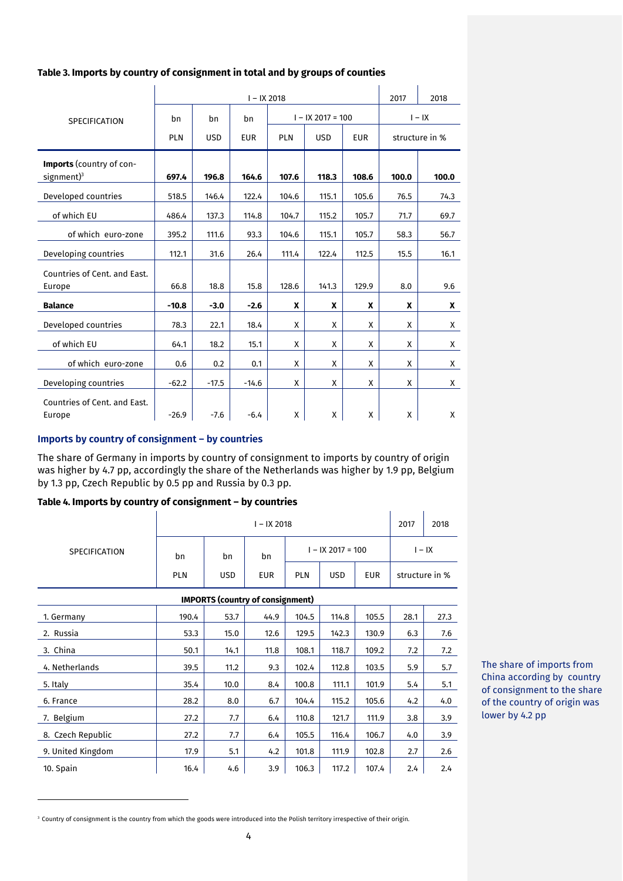# **Table 3. Imports by country of consignment in total and by groups of counties**

|                              |            |            | $I - IX 2018$ |            |                     |            | 2017  | 2018           |
|------------------------------|------------|------------|---------------|------------|---------------------|------------|-------|----------------|
| <b>SPECIFICATION</b>         | bn         | bn         | bn            |            | $I - IX 2017 = 100$ | $I - IX$   |       |                |
|                              | <b>PLN</b> | <b>USD</b> | <b>EUR</b>    | <b>PLN</b> | <b>USD</b>          | <b>EUR</b> |       | structure in % |
| Imports (country of con-     |            |            |               |            |                     |            |       |                |
| $signment$ <sup>3</sup>      | 697.4      | 196.8      | 164.6         | 107.6      | 118.3               | 108.6      | 100.0 | 100.0          |
| Developed countries          | 518.5      | 146.4      | 122.4         | 104.6      | 115.1               | 105.6      | 76.5  | 74.3           |
| of which EU                  | 486.4      | 137.3      | 114.8         | 104.7      | 115.2               | 105.7      | 71.7  | 69.7           |
| of which euro-zone           | 395.2      | 111.6      | 93.3          | 104.6      | 115.1               | 105.7      | 58.3  | 56.7           |
| Developing countries         | 112.1      | 31.6       | 26.4          | 111.4      | 122.4               | 112.5      | 15.5  | 16.1           |
| Countries of Cent. and East. |            |            |               |            |                     |            |       |                |
| Europe                       | 66.8       | 18.8       | 15.8          | 128.6      | 141.3               | 129.9      | 8.0   | 9.6            |
| <b>Balance</b>               | $-10.8$    | $-3.0$     | $-2.6$        | X          | X                   | X          | X     | X              |
| Developed countries          | 78.3       | 22.1       | 18.4          | X          | X                   | X          | X     | X              |
| of which EU                  | 64.1       | 18.2       | 15.1          | X          | X                   | X          | X     | X              |
| of which euro-zone           | 0.6        | 0.2        | 0.1           | X          | X                   | X          | X     | X              |
| Developing countries         | $-62.2$    | $-17.5$    | $-14.6$       | X          | X                   | X          | X     | X              |
| Countries of Cent. and East. |            |            |               |            |                     |            |       |                |
| Europe                       | $-26.9$    | $-7.6$     | $-6.4$        | X          | X                   | X          | X     | X              |

 $\mathbf{r}$ 

 $\mathcal{A}$ 

# **Imports by country of consignment – by countries**

-

The share of Germany in imports by country of consignment to imports by country of origin was higher by 4.7 pp, accordingly the share of the Netherlands was higher by 1.9 pp, Belgium by 1.3 pp, Czech Republic by 0.5 pp and Russia by 0.3 pp.

# **Table 4. Imports by country of consignment – by countries**

| SPECIFICATION | I – IX 2018 |            |            |                     |            |            |                | 2018 |
|---------------|-------------|------------|------------|---------------------|------------|------------|----------------|------|
|               | bn          | bn         | bn         | $I - IX 2017 = 100$ |            |            | $I - IX$       |      |
|               | <b>PLN</b>  | <b>USD</b> | <b>EUR</b> | <b>PLN</b>          | <b>USD</b> | <b>EUR</b> | structure in % |      |

| <b>IMPORTS (country of consignment)</b> |       |      |      |       |       |       |      |      |  |  |
|-----------------------------------------|-------|------|------|-------|-------|-------|------|------|--|--|
| 1. Germany                              | 190.4 | 53.7 | 44.9 | 104.5 | 114.8 | 105.5 | 28.1 | 27.3 |  |  |
| 2. Russia                               | 53.3  | 15.0 | 12.6 | 129.5 | 142.3 | 130.9 | 6.3  | 7.6  |  |  |
| 3. China                                | 50.1  | 14.1 | 11.8 | 108.1 | 118.7 | 109.2 | 7.2  | 7.2  |  |  |
| 4. Netherlands                          | 39.5  | 11.2 | 9.3  | 102.4 | 112.8 | 103.5 | 5.9  | 5.7  |  |  |
| 5. Italy                                | 35.4  | 10.0 | 8.4  | 100.8 | 111.1 | 101.9 | 5.4  | 5.1  |  |  |
| 6. France                               | 28.2  | 8.0  | 6.7  | 104.4 | 115.2 | 105.6 | 4.2  | 4.0  |  |  |
| 7. Belgium                              | 27.2  | 7.7  | 6.4  | 110.8 | 121.7 | 111.9 | 3.8  | 3.9  |  |  |
| 8. Czech Republic                       | 27.2  | 7.7  | 6.4  | 105.5 | 116.4 | 106.7 | 4.0  | 3.9  |  |  |
| 9. United Kingdom                       | 17.9  | 5.1  | 4.2  | 101.8 | 111.9 | 102.8 | 2.7  | 2.6  |  |  |
| 10. Spain                               | 16.4  | 4.6  | 3.9  | 106.3 | 117.2 | 107.4 | 2.4  | 2.4  |  |  |

The share of imports from China according by country of consignment to the share of the country of origin was lower by 4.2 pp

<sup>&</sup>lt;sup>3</sup> Country of consignment is the country from which the goods were introduced into the Polish territory irrespective of their origin.